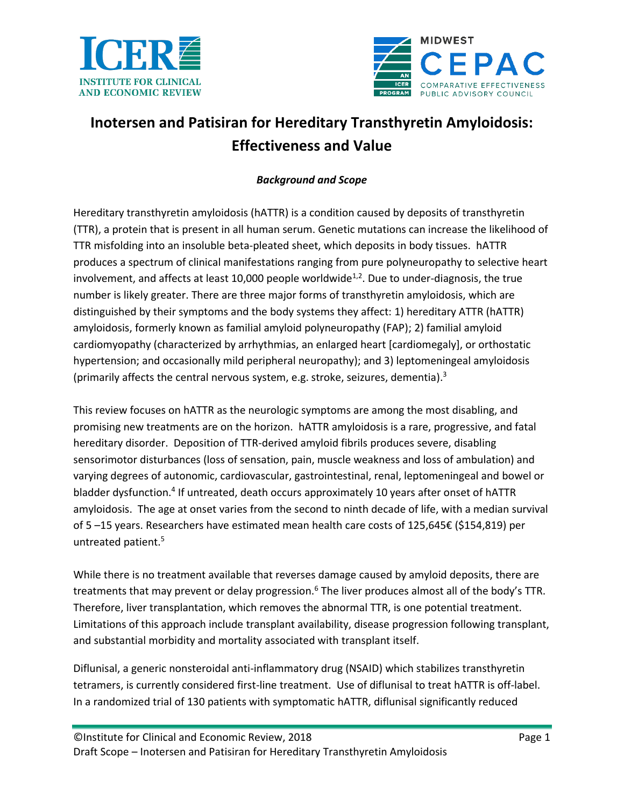



# **Inotersen and Patisiran for Hereditary Transthyretin Amyloidosis: Effectiveness and Value**

# *Background and Scope*

Hereditary transthyretin amyloidosis (hATTR) is a condition caused by deposits of transthyretin (TTR), a protein that is present in all human serum. Genetic mutations can increase the likelihood of TTR misfolding into an insoluble beta-pleated sheet, which deposits in body tissues. hATTR produces a spectrum of clinical manifestations ranging from pure polyneuropathy to selective heart involvement, and affects at least 10,000 people worldwide<sup>[1,](#page-8-0)[2](#page-8-1)</sup>. Due to under-diagnosis, the true number is likely greater. There are three major forms of transthyretin amyloidosis, which are distinguished by their symptoms and the body systems they affect: 1) hereditary ATTR (hATTR) amyloidosis, formerly known as familial amyloid polyneuropathy (FAP); 2) familial amyloid cardiomyopathy (characterized by arrhythmias, an enlarged heart [cardiomegaly], or orthostatic hypertension; and occasionally mild peripheral neuropathy); and 3) leptomeningeal amyloidosis (primarily affects the central nervous system, e.g. stroke, seizures, dementia).<sup>3</sup>

This review focuses on hATTR as the neurologic symptoms are among the most disabling, and promising new treatments are on the horizon. hATTR amyloidosis is a rare, progressive, and fatal hereditary disorder. Deposition of TTR-derived amyloid fibrils produces severe, disabling sensorimotor disturbances (loss of sensation, pain, muscle weakness and loss of ambulation) and varying degrees of autonomic, cardiovascular, gastrointestinal, renal, leptomeningeal and bowel or bladder dysfunction.<sup>4</sup> If untreated, death occurs approximately 10 years after onset of hATTR amyloidosis. The age at onset varies from the second to ninth decade of life, with a median survival of 5 –15 years. Researchers have estimated mean health care costs of 125,645€ (\$154,819) per untreated patient. 5

While there is no treatment available that reverses damage caused by amyloid deposits, there are treatments that may prevent or delay progression.<sup>6</sup> The liver produces almost all of the body's TTR. Therefore, liver transplantation, which removes the abnormal TTR, is one potential treatment. Limitations of this approach include transplant availability, disease progression following transplant, and substantial morbidity and mortality associated with transplant itself.

Diflunisal, a generic nonsteroidal anti-inflammatory drug (NSAID) which stabilizes transthyretin tetramers, is currently considered first-line treatment. Use of diflunisal to treat hATTR is off-label. In a randomized trial of 130 patients with symptomatic hATTR, diflunisal significantly reduced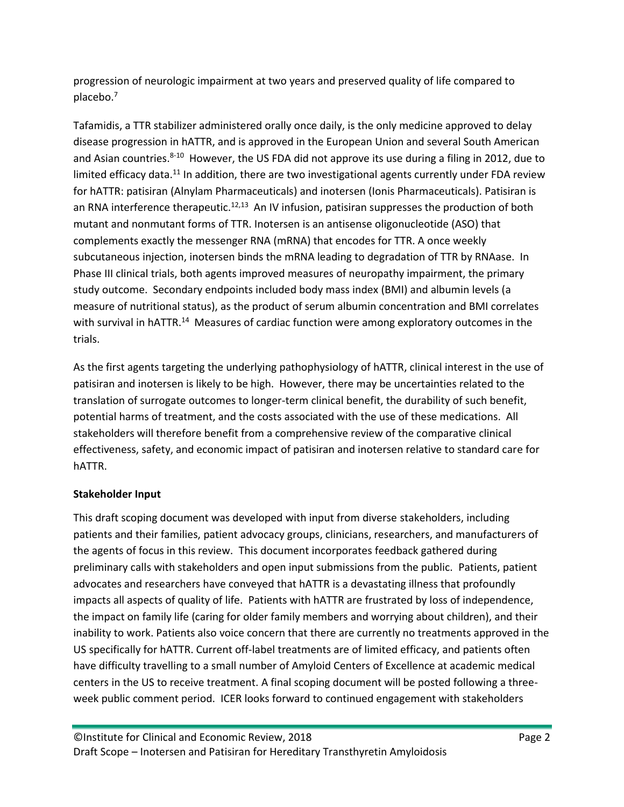progression of neurologic impairment at two years and preserved quality of life compared to placebo. 7

Tafamidis, a TTR stabilizer administered orally once daily, is the only medicine approved to delay disease progression in hATTR, and is approved in the European Union and several South American and Asian countries.<sup>8-10</sup> However, the US FDA did not approve its use during a filing in 2012, due to limited efficacy data.<sup>11</sup> In addition, there are two investigational agents currently under FDA review for hATTR: patisiran (Alnylam Pharmaceuticals) and inotersen (Ionis Pharmaceuticals). Patisiran is an RNA interference therapeutic.<sup>[12,](#page-8-2)[13](#page-8-3)</sup> An IV infusion, patisiran suppresses the production of both mutant and nonmutant forms of TTR. Inotersen is an antisense oligonucleotide (ASO) that complements exactly the messenger RNA (mRNA) that encodes for TTR. A once weekly subcutaneous injection, inotersen binds the mRNA leading to degradation of TTR by RNAase. In Phase III clinical trials, both agents improved measures of neuropathy impairment, the primary study outcome. Secondary endpoints included body mass index (BMI) and albumin levels (a measure of nutritional status), as the product of serum albumin concentration and BMI correlates with survival in hATTR.<sup>14</sup> Measures of cardiac function were among exploratory outcomes in the trials.

As the first agents targeting the underlying pathophysiology of hATTR, clinical interest in the use of patisiran and inotersen is likely to be high. However, there may be uncertainties related to the translation of surrogate outcomes to longer-term clinical benefit, the durability of such benefit, potential harms of treatment, and the costs associated with the use of these medications. All stakeholders will therefore benefit from a comprehensive review of the comparative clinical effectiveness, safety, and economic impact of patisiran and inotersen relative to standard care for hATTR.

# **Stakeholder Input**

This draft scoping document was developed with input from diverse stakeholders, including patients and their families, patient advocacy groups, clinicians, researchers, and manufacturers of the agents of focus in this review. This document incorporates feedback gathered during preliminary calls with stakeholders and open input submissions from the public. Patients, patient advocates and researchers have conveyed that hATTR is a devastating illness that profoundly impacts all aspects of quality of life. Patients with hATTR are frustrated by loss of independence, the impact on family life (caring for older family members and worrying about children), and their inability to work. Patients also voice concern that there are currently no treatments approved in the US specifically for hATTR. Current off-label treatments are of limited efficacy, and patients often have difficulty travelling to a small number of Amyloid Centers of Excellence at academic medical centers in the US to receive treatment. A final scoping document will be posted following a threeweek public comment period. ICER looks forward to continued engagement with stakeholders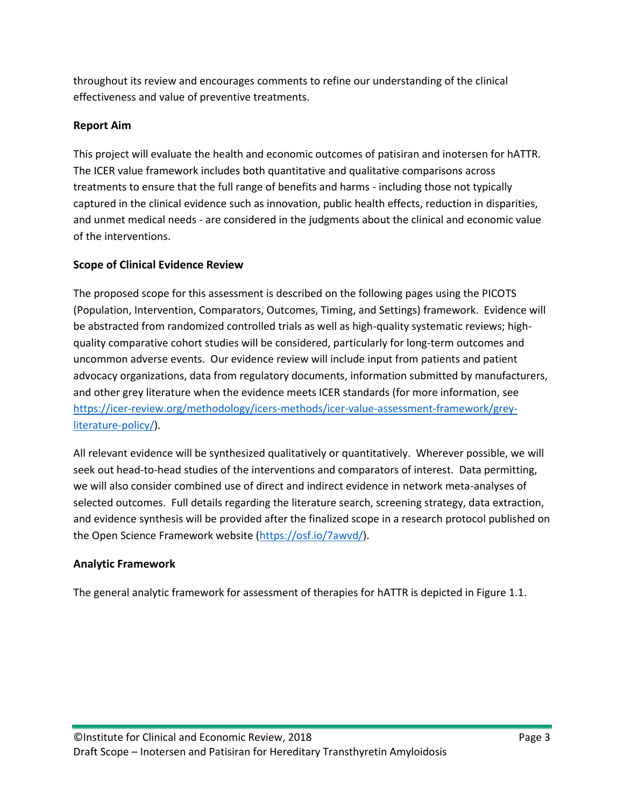throughout its review and encourages comments to refine our understanding of the clinical effectiveness and value of preventive treatments.

# **Report Aim**

This project will evaluate the health and economic outcomes of patisiran and inotersen for hATTR. The ICER value framework includes both quantitative and qualitative comparisons across treatments to ensure that the full range of benefits and harms - including those not typically captured in the clinical evidence such as innovation, public health effects, reduction in disparities, and unmet medical needs - are considered in the judgments about the clinical and economic value of the interventions.

# **Scope of Clinical Evidence Review**

The proposed scope for this assessment is described on the following pages using the PICOTS (Population, Intervention, Comparators, Outcomes, Timing, and Settings) framework. Evidence will be abstracted from randomized controlled trials as well as high-quality systematic reviews; highquality comparative cohort studies will be considered, particularly for long-term outcomes and uncommon adverse events. Our evidence review will include input from patients and patient advocacy organizations, data from regulatory documents, information submitted by manufacturers, and other grey literature when the evidence meets ICER standards (for more information, see [https://icer-review.org/methodology/icers-methods/icer-value-assessment-framework/grey](https://icer-review.org/methodology/icers-methods/icer-value-assessment-framework/grey-literature-policy/)[literature-policy/\)](https://icer-review.org/methodology/icers-methods/icer-value-assessment-framework/grey-literature-policy/).

All relevant evidence will be synthesized qualitatively or quantitatively. Wherever possible, we will seek out head-to-head studies of the interventions and comparators of interest. Data permitting, we will also consider combined use of direct and indirect evidence in network meta-analyses of selected outcomes. Full details regarding the literature search, screening strategy, data extraction, and evidence synthesis will be provided after the finalized scope in a research protocol published on the Open Science Framework website [\(https://osf.io/7awvd/\)](https://osf.io/7awvd/).

# **Analytic Framework**

The general analytic framework for assessment of therapies for hATTR is depicted in Figure 1.1.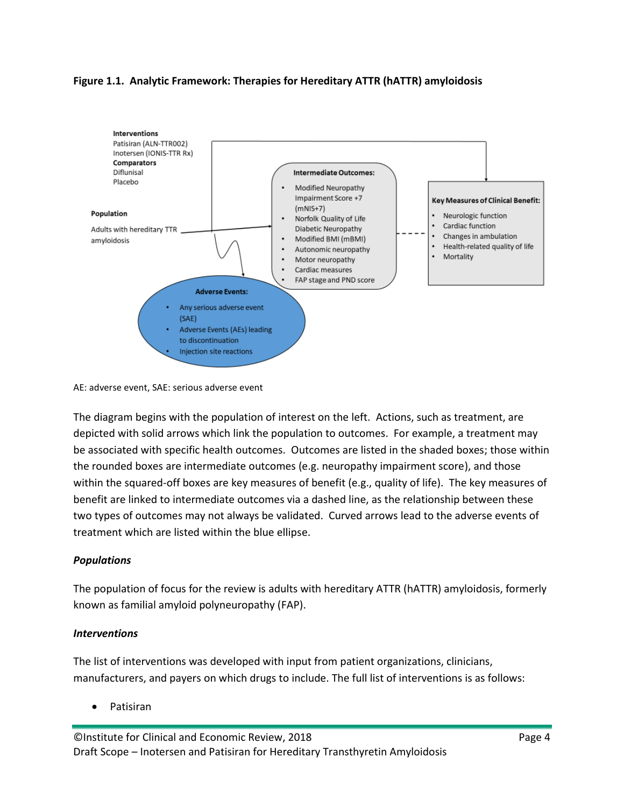#### **Figure 1.1. Analytic Framework: Therapies for Hereditary ATTR (hATTR) amyloidosis**



AE: adverse event, SAE: serious adverse event

The diagram begins with the population of interest on the left. Actions, such as treatment, are depicted with solid arrows which link the population to outcomes. For example, a treatment may be associated with specific health outcomes. Outcomes are listed in the shaded boxes; those within the rounded boxes are intermediate outcomes (e.g. neuropathy impairment score), and those within the squared-off boxes are key measures of benefit (e.g., quality of life). The key measures of benefit are linked to intermediate outcomes via a dashed line, as the relationship between these two types of outcomes may not always be validated. Curved arrows lead to the adverse events of treatment which are listed within the blue ellipse.

# *Populations*

The population of focus for the review is adults with hereditary ATTR (hATTR) amyloidosis, formerly known as familial amyloid polyneuropathy (FAP).

#### *Interventions*

The list of interventions was developed with input from patient organizations, clinicians, manufacturers, and payers on which drugs to include. The full list of interventions is as follows:

• Patisiran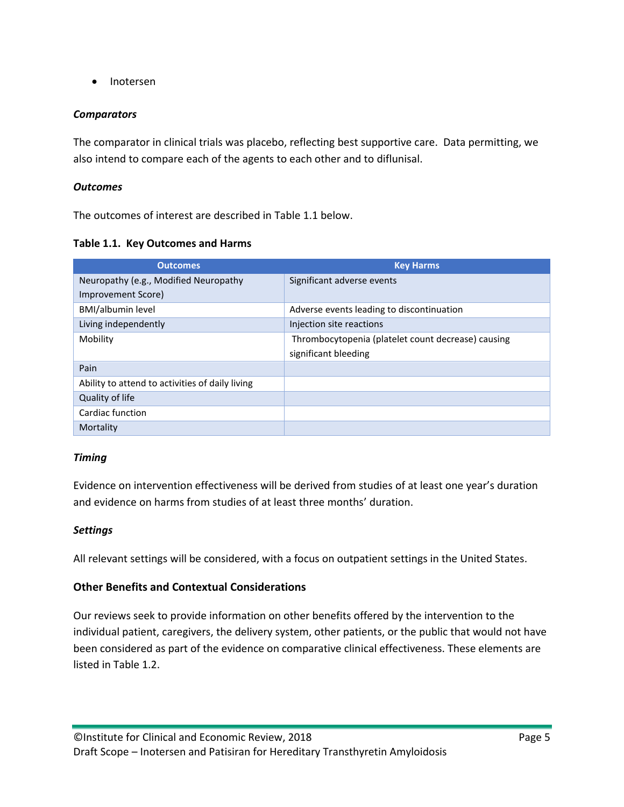• Inotersen

#### *Comparators*

The comparator in clinical trials was placebo, reflecting best supportive care. Data permitting, we also intend to compare each of the agents to each other and to diflunisal.

#### *Outcomes*

The outcomes of interest are described in Table 1.1 below.

#### **Table 1.1. Key Outcomes and Harms**

| <b>Outcomes</b>                                 | <b>Key Harms</b>                                   |
|-------------------------------------------------|----------------------------------------------------|
| Neuropathy (e.g., Modified Neuropathy           | Significant adverse events                         |
| Improvement Score)                              |                                                    |
| <b>BMI/albumin level</b>                        | Adverse events leading to discontinuation          |
| Living independently                            | Injection site reactions                           |
| Mobility                                        | Thrombocytopenia (platelet count decrease) causing |
|                                                 | significant bleeding                               |
| Pain                                            |                                                    |
| Ability to attend to activities of daily living |                                                    |
| Quality of life                                 |                                                    |
| Cardiac function                                |                                                    |
| Mortality                                       |                                                    |

#### *Timing*

Evidence on intervention effectiveness will be derived from studies of at least one year's duration and evidence on harms from studies of at least three months' duration.

#### *Settings*

All relevant settings will be considered, with a focus on outpatient settings in the United States.

# **Other Benefits and Contextual Considerations**

Our reviews seek to provide information on other benefits offered by the intervention to the individual patient, caregivers, the delivery system, other patients, or the public that would not have been considered as part of the evidence on comparative clinical effectiveness. These elements are listed in Table 1.2.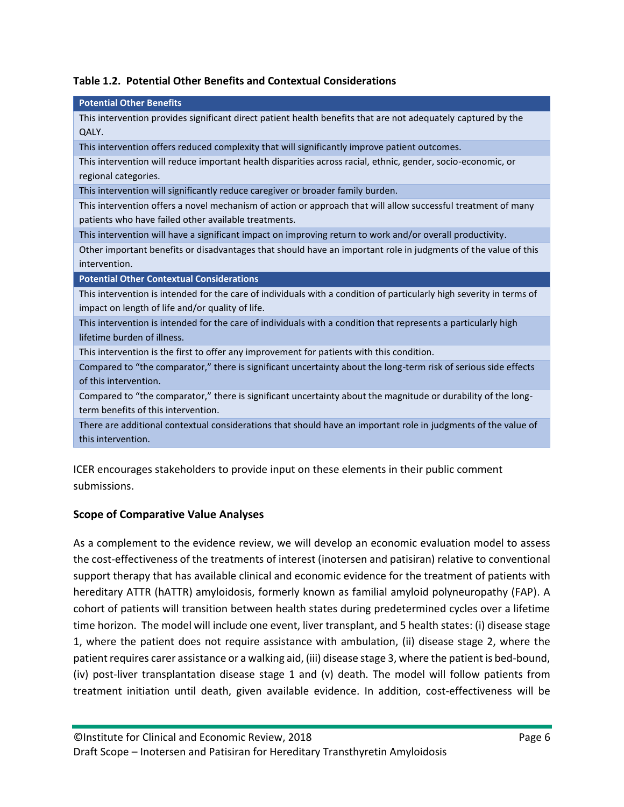|  | Table 1.2. Potential Other Benefits and Contextual Considerations |  |  |  |
|--|-------------------------------------------------------------------|--|--|--|
|--|-------------------------------------------------------------------|--|--|--|

| <b>Potential Other Benefits</b>                                                                                      |
|----------------------------------------------------------------------------------------------------------------------|
| This intervention provides significant direct patient health benefits that are not adequately captured by the        |
| QALY.                                                                                                                |
| This intervention offers reduced complexity that will significantly improve patient outcomes.                        |
| This intervention will reduce important health disparities across racial, ethnic, gender, socio-economic, or         |
| regional categories.                                                                                                 |
| This intervention will significantly reduce caregiver or broader family burden.                                      |
| This intervention offers a novel mechanism of action or approach that will allow successful treatment of many        |
| patients who have failed other available treatments.                                                                 |
| This intervention will have a significant impact on improving return to work and/or overall productivity.            |
| Other important benefits or disadvantages that should have an important role in judgments of the value of this       |
| intervention.                                                                                                        |
|                                                                                                                      |
| <b>Potential Other Contextual Considerations</b>                                                                     |
| This intervention is intended for the care of individuals with a condition of particularly high severity in terms of |
| impact on length of life and/or quality of life.                                                                     |
| This intervention is intended for the care of individuals with a condition that represents a particularly high       |
| lifetime burden of illness.                                                                                          |
| This intervention is the first to offer any improvement for patients with this condition.                            |
| Compared to "the comparator," there is significant uncertainty about the long-term risk of serious side effects      |
| of this intervention.                                                                                                |
| Compared to "the comparator," there is significant uncertainty about the magnitude or durability of the long-        |
| term benefits of this intervention.                                                                                  |
| There are additional contextual considerations that should have an important role in judgments of the value of       |
| this intervention.                                                                                                   |

ICER encourages stakeholders to provide input on these elements in their public comment submissions.

# **Scope of Comparative Value Analyses**

As a complement to the evidence review, we will develop an economic evaluation model to assess the cost-effectiveness of the treatments of interest (inotersen and patisiran) relative to conventional support therapy that has available clinical and economic evidence for the treatment of patients with hereditary ATTR (hATTR) amyloidosis, formerly known as familial amyloid polyneuropathy (FAP). A cohort of patients will transition between health states during predetermined cycles over a lifetime time horizon. The model will include one event, liver transplant, and 5 health states: (i) disease stage 1, where the patient does not require assistance with ambulation, (ii) disease stage 2, where the patient requires carer assistance or a walking aid, (iii) disease stage 3, where the patient is bed-bound, (iv) post-liver transplantation disease stage 1 and (v) death. The model will follow patients from treatment initiation until death, given available evidence. In addition, cost-effectiveness will be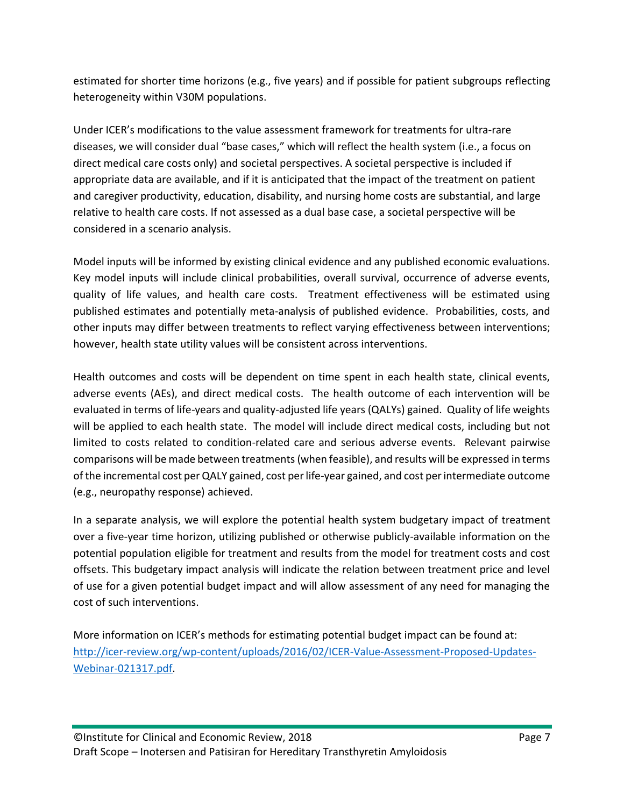estimated for shorter time horizons (e.g., five years) and if possible for patient subgroups reflecting heterogeneity within V30M populations.

Under ICER's modifications to the value assessment framework for treatments for ultra-rare diseases, we will consider dual "base cases," which will reflect the health system (i.e., a focus on direct medical care costs only) and societal perspectives. A societal perspective is included if appropriate data are available, and if it is anticipated that the impact of the treatment on patient and caregiver productivity, education, disability, and nursing home costs are substantial, and large relative to health care costs. If not assessed as a dual base case, a societal perspective will be considered in a scenario analysis.

Model inputs will be informed by existing clinical evidence and any published economic evaluations. Key model inputs will include clinical probabilities, overall survival, occurrence of adverse events, quality of life values, and health care costs. Treatment effectiveness will be estimated using published estimates and potentially meta-analysis of published evidence. Probabilities, costs, and other inputs may differ between treatments to reflect varying effectiveness between interventions; however, health state utility values will be consistent across interventions.

Health outcomes and costs will be dependent on time spent in each health state, clinical events, adverse events (AEs), and direct medical costs. The health outcome of each intervention will be evaluated in terms of life-years and quality-adjusted life years (QALYs) gained. Quality of life weights will be applied to each health state. The model will include direct medical costs, including but not limited to costs related to condition-related care and serious adverse events. Relevant pairwise comparisons will be made between treatments(when feasible), and results will be expressed in terms of the incremental cost per QALY gained, cost per life-year gained, and cost per intermediate outcome (e.g., neuropathy response) achieved.

In a separate analysis, we will explore the potential health system budgetary impact of treatment over a five-year time horizon, utilizing published or otherwise publicly-available information on the potential population eligible for treatment and results from the model for treatment costs and cost offsets. This budgetary impact analysis will indicate the relation between treatment price and level of use for a given potential budget impact and will allow assessment of any need for managing the cost of such interventions.

More information on ICER's methods for estimating potential budget impact can be found at: [http://icer-review.org/wp-content/uploads/2016/02/ICER-Value-Assessment-Proposed-Updates-](http://icer-review.org/wp-content/uploads/2016/02/ICER-Value-Assessment-Proposed-Updates-Webinar-021317.pdf)[Webinar-021317.pdf.](http://icer-review.org/wp-content/uploads/2016/02/ICER-Value-Assessment-Proposed-Updates-Webinar-021317.pdf)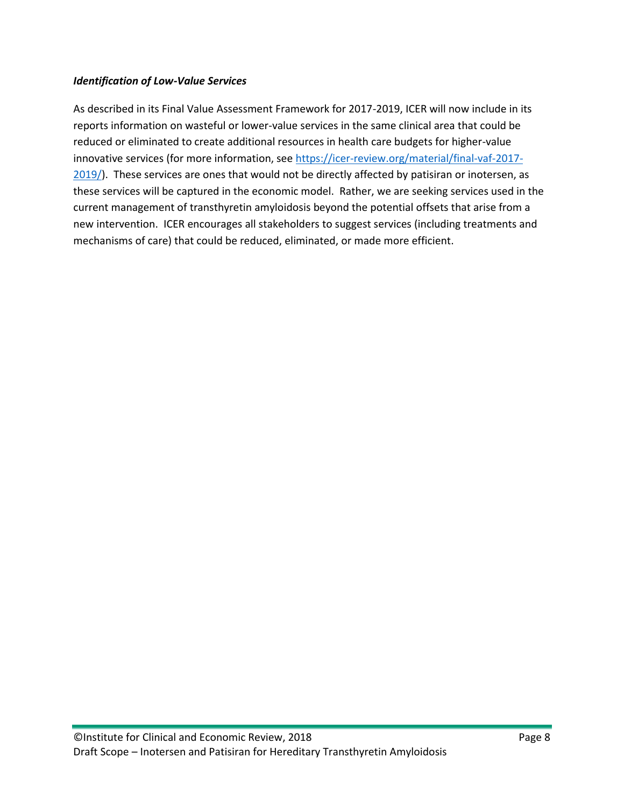#### *Identification of Low-Value Services*

As described in its Final Value Assessment Framework for 2017-2019, ICER will now include in its reports information on wasteful or lower-value services in the same clinical area that could be reduced or eliminated to create additional resources in health care budgets for higher-value innovative services (for more information, see [https://icer-review.org/material/final-vaf-2017-](https://icer-review.org/material/final-vaf-2017-2019/) [2019/\)](https://icer-review.org/material/final-vaf-2017-2019/). These services are ones that would not be directly affected by patisiran or inotersen, as these services will be captured in the economic model. Rather, we are seeking services used in the current management of transthyretin amyloidosis beyond the potential offsets that arise from a new intervention. ICER encourages all stakeholders to suggest services (including treatments and mechanisms of care) that could be reduced, eliminated, or made more efficient.